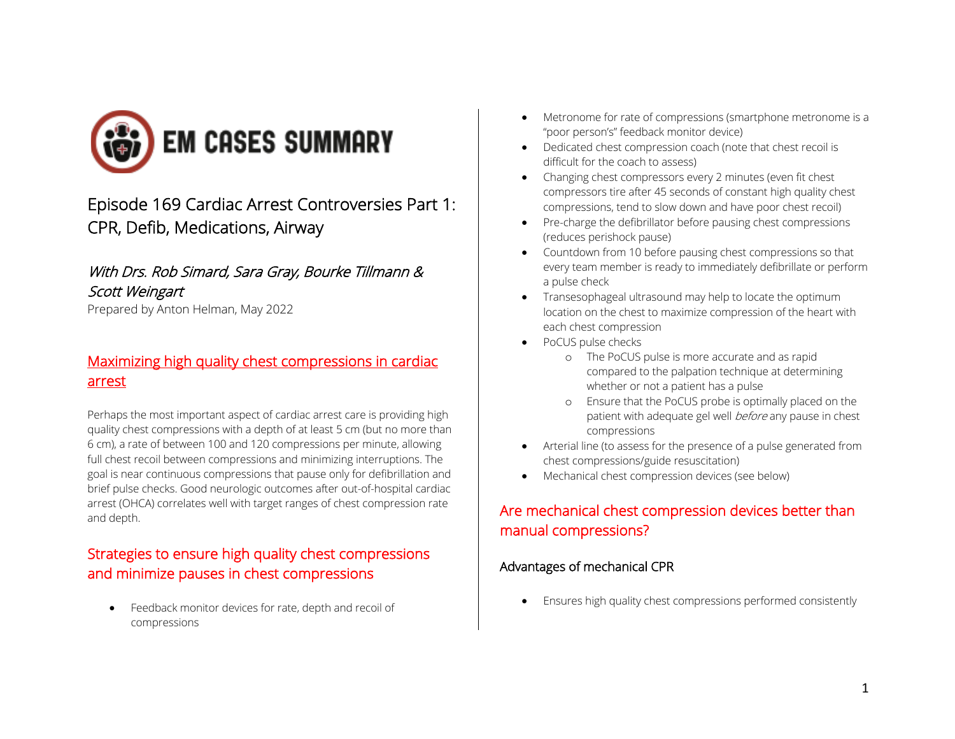

# Episode 169 Cardiac Arrest Controversies Part 1: CPR, Defib, Medications, Airway

### With Drs. Rob Simard, Sara Gray, Bourke Tillmann & Scott Weingart

Prepared by Anton Helman, May 2022

### Maximizing high quality chest compressions in cardiac arrest

Perhaps the most important aspect of cardiac arrest care is providing high quality chest compressions with a depth of at least 5 cm (but no more than 6 cm), a rate of between 100 and 120 compressions per minute, allowing full chest recoil between compressions and minimizing interruptions. The goal is near continuous compressions that pause only for defibrillation and brief pulse checks. Good neurologic outcomes after out-of-hospital cardiac arrest (OHCA) correlates well with target ranges of chest compression rate and depth.

## Strategies to ensure high quality chest compressions and minimize pauses in chest compressions

• Feedback monitor devices for rate, depth and recoil of compressions

- Metronome for rate of compressions (smartphone metronome is a "poor person's" feedback monitor device)
- Dedicated chest compression coach (note that chest recoil is difficult for the coach to assess)
- Changing chest compressors every 2 minutes (even fit chest compressors tire after 45 seconds of constant high quality chest compressions, tend to slow down and have poor chest recoil)
- Pre-charge the defibrillator before pausing chest compressions (reduces perishock pause)
- Countdown from 10 before pausing chest compressions so that every team member is ready to immediately defibrillate or perform a pulse check
- Transesophageal ultrasound may help to locate the optimum location on the chest to maximize compression of the heart with each chest compression
- PoCUS pulse checks
	- o The PoCUS pulse is more accurate and as rapid compared to the palpation technique at determining whether or not a patient has a pulse
	- o Ensure that the PoCUS probe is optimally placed on the patient with adequate gel well before any pause in chest compressions
- Arterial line (to assess for the presence of a pulse generated from chest compressions/guide resuscitation)
- Mechanical chest compression devices (see below)

## Are mechanical chest compression devices better than manual compressions?

### Advantages of mechanical CPR

• Ensures high quality chest compressions performed consistently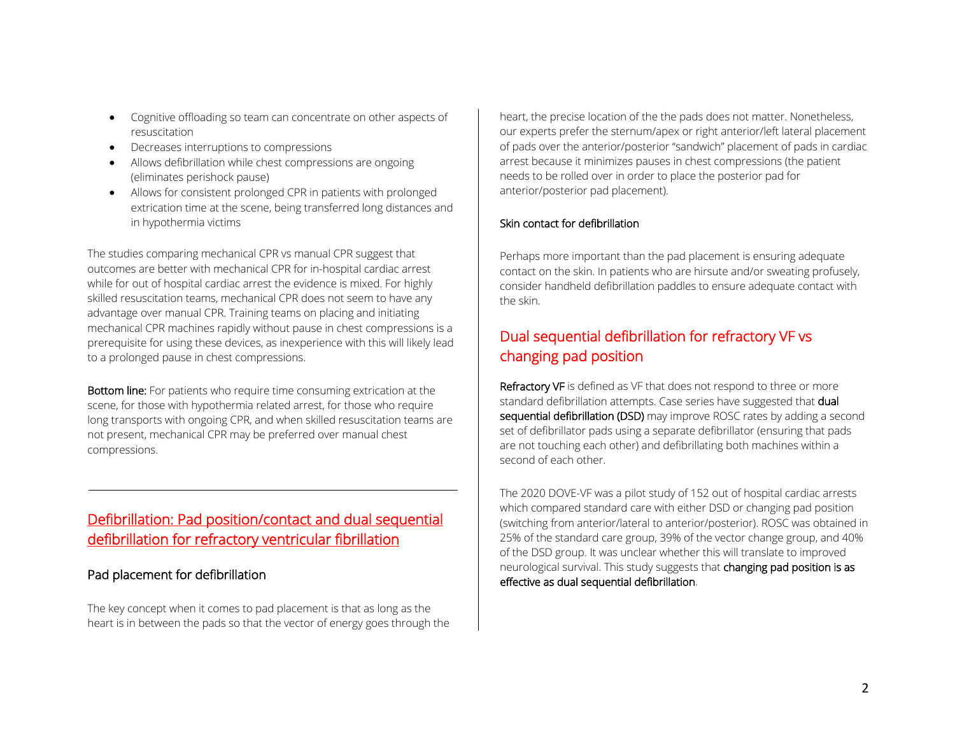- Cognitive offloading so team can concentrate on other aspects of resuscitation
- Decreases interruptions to compressions
- Allows defibrillation while chest compressions are ongoing (eliminates perishock pause)
- Allows for consistent prolonged CPR in patients with prolonged extrication time at the scene, being transferred long distances and in hypothermia victims

The studies comparing mechanical CPR vs manual CPR suggest that outcomes are better with mechanical CPR for in-hospital cardiac arrest while for out of hospital cardiac arrest the evidence is mixed. For highly skilled resuscitation teams, mechanical CPR does not seem to have any advantage over manual CPR. Training teams on placing and initiating mechanical CPR machines rapidly without pause in chest compressions is a prerequisite for using these devices, as inexperience with this will likely lead to a prolonged pause in chest compressions.

Bottom line: For patients who require time consuming extrication at the scene, for those with hypothermia related arrest, for those who require long transports with ongoing CPR, and when skilled resuscitation teams are not present, mechanical CPR may be preferred over manual chest compressions.

## Defibrillation: Pad position/contact and dual sequential defibrillation for refractory ventricular fibrillation

#### Pad placement for defibrillation

The key concept when it comes to pad placement is that as long as the heart is in between the pads so that the vector of energy goes through the heart, the precise location of the the pads does not matter. Nonetheless, our experts prefer the sternum/apex or right anterior/left lateral placement of pads over the anterior/posterior "sandwich" placement of pads in cardiac arrest because it minimizes pauses in chest compressions (the patient needs to be rolled over in order to place the posterior pad for anterior/posterior pad placement).

#### Skin contact for defibrillation

Perhaps more important than the pad placement is ensuring adequate contact on the skin. In patients who are hirsute and/or sweating profusely, consider handheld defibrillation paddles to ensure adequate contact with the skin.

## Dual sequential defibrillation for refractory VF vs changing pad position

Refractory VF is defined as VF that does not respond to three or more standard defibrillation attempts. Case series have suggested that dual sequential defibrillation (DSD) may improve ROSC rates by adding a second set of defibrillator pads using a separate defibrillator (ensuring that pads are not touching each other) and defibrillating both machines within a second of each other.

The 2020 DOVE-VF was a pilot study of 152 out of hospital cardiac arrests which compared standard care with either DSD or changing pad position (switching from anterior/lateral to anterior/posterior). ROSC was obtained in 25% of the standard care group, 39% of the vector change group, and 40% of the DSD group. It was unclear whether this will translate to improved neurological survival. This study suggests that changing pad position is as effective as dual sequential defibrillation.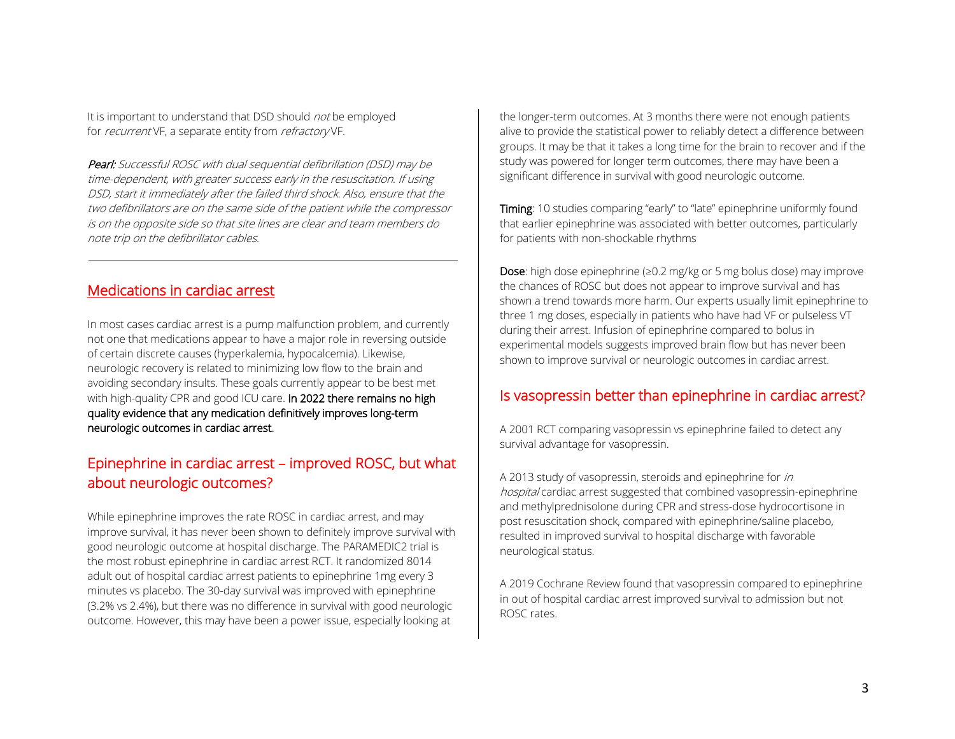It is important to understand that DSD should *not* be employed for *recurrent* VF, a separate entity from *refractory* VF.

Pearl: Successful ROSC with dual sequential defibrillation (DSD) may be time-dependent, with greater success early in the resuscitation. If using DSD, start it immediately after the failed third shock. Also, ensure that the two defibrillators are on the same side of the patient while the compressor is on the opposite side so that site lines are clear and team members do note trip on the defibrillator cables.

#### Medications in cardiac arrest

In most cases cardiac arrest is a pump malfunction problem, and currently not one that medications appear to have a major role in reversing outside of certain discrete causes (hyperkalemia, hypocalcemia). Likewise, neurologic recovery is related to minimizing low flow to the brain and avoiding secondary insults. These goals currently appear to be best met with high-quality CPR and good ICU care. In 2022 there remains no high quality evidence that any medication definitively improves long-term neurologic outcomes in cardiac arrest.

### Epinephrine in cardiac arrest – improved ROSC, but what about neurologic outcomes?

While epinephrine improves the rate ROSC in cardiac arrest, and may improve survival, it has never been shown to definitely improve survival with good neurologic outcome at hospital discharge. The PARAMEDIC2 trial is the most robust epinephrine in cardiac arrest RCT. It randomized 8014 adult out of hospital cardiac arrest patients to epinephrine 1mg every 3 minutes vs placebo. The 30-day survival was improved with epinephrine (3.2% vs 2.4%), but there was no difference in survival with good neurologic outcome. However, this may have been a power issue, especially looking at

the longer-term outcomes. At 3 months there were not enough patients alive to provide the statistical power to reliably detect a difference between groups. It may be that it takes a long time for the brain to recover and if the study was powered for longer term outcomes, there may have been a significant difference in survival with good neurologic outcome.

Timing: 10 studies comparing "early" to "late" epinephrine uniformly found that earlier epinephrine was associated with better outcomes, particularly for patients with non-shockable rhythms

Dose: high dose epinephrine (≥0.2 mg/kg or 5 mg bolus dose) may improve the chances of ROSC but does not appear to improve survival and has shown a trend towards more harm. Our experts usually limit epinephrine to three 1 mg doses, especially in patients who have had VF or pulseless VT during their arrest. Infusion of epinephrine compared to bolus in experimental models suggests improved brain flow but has never been shown to improve survival or neurologic outcomes in cardiac arrest.

### Is vasopressin better than epinephrine in cardiac arrest?

A 2001 RCT comparing vasopressin vs epinephrine failed to detect any survival advantage for vasopressin.

A 2013 study of vasopressin, steroids and epinephrine for in hospital cardiac arrest suggested that combined vasopressin-epinephrine and methylprednisolone during CPR and stress-dose hydrocortisone in post resuscitation shock, compared with epinephrine/saline placebo, resulted in improved survival to hospital discharge with favorable neurological status.

A 2019 Cochrane Review found that vasopressin compared to epinephrine in out of hospital cardiac arrest improved survival to admission but not ROSC rates.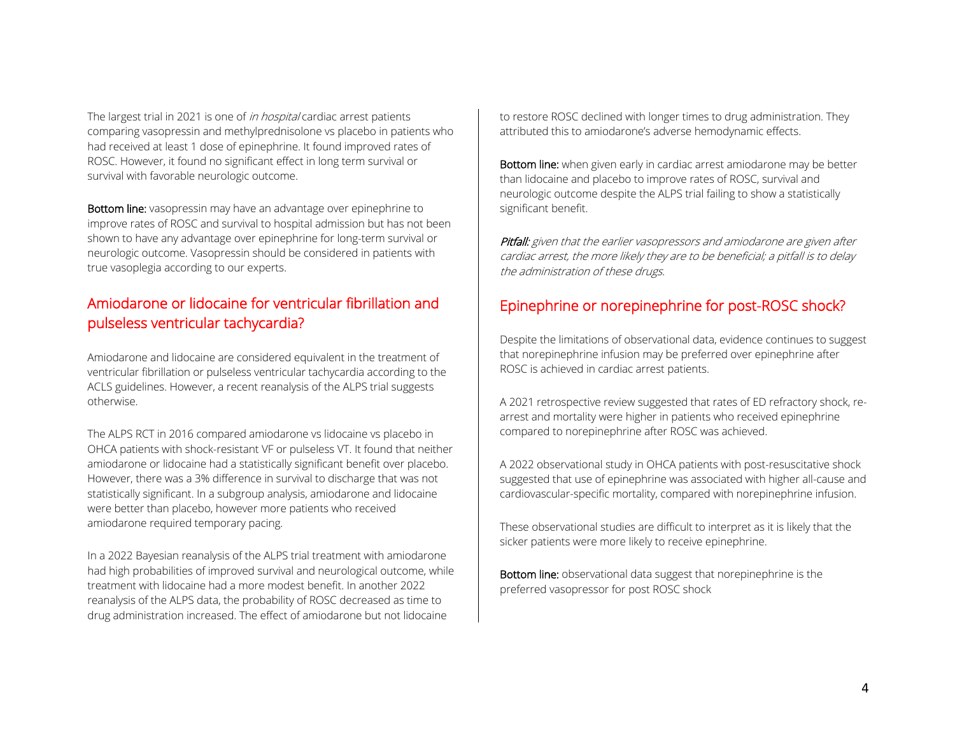The largest trial in 2021 is one of *in hospital* cardiac arrest patients comparing vasopressin and methylprednisolone vs placebo in patients who had received at least 1 dose of epinephrine. It found improved rates of ROSC. However, it found no significant effect in long term survival or survival with favorable neurologic outcome.

Bottom line: vasopressin may have an advantage over epinephrine to improve rates of ROSC and survival to hospital admission but has not been shown to have any advantage over epinephrine for long-term survival or neurologic outcome. Vasopressin should be considered in patients with true vasoplegia according to our experts.

## Amiodarone or lidocaine for ventricular fibrillation and pulseless ventricular tachycardia?

Amiodarone and lidocaine are considered equivalent in the treatment of ventricular fibrillation or pulseless ventricular tachycardia according to the ACLS guidelines. However, a recent reanalysis of the ALPS trial suggests otherwise.

The ALPS RCT in 2016 compared amiodarone vs lidocaine vs placebo in OHCA patients with shock-resistant VF or pulseless VT. It found that neither amiodarone or lidocaine had a statistically significant benefit over placebo. However, there was a 3% difference in survival to discharge that was not statistically significant. In a subgroup analysis, amiodarone and lidocaine were better than placebo, however more patients who received amiodarone required temporary pacing.

In a 2022 Bayesian reanalysis of the ALPS trial treatment with amiodarone had high probabilities of improved survival and neurological outcome, while treatment with lidocaine had a more modest benefit. In another 2022 reanalysis of the ALPS data, the probability of ROSC decreased as time to drug administration increased. The effect of amiodarone but not lidocaine

to restore ROSC declined with longer times to drug administration. They attributed this to amiodarone's adverse hemodynamic effects.

Bottom line: when given early in cardiac arrest amiodarone may be better than lidocaine and placebo to improve rates of ROSC, survival and neurologic outcome despite the ALPS trial failing to show a statistically significant benefit.

Pitfall: given that the earlier vasopressors and amiodarone are given after cardiac arrest, the more likely they are to be beneficial; a pitfall is to delay the administration of these drugs.

### Epinephrine or norepinephrine for post-ROSC shock?

Despite the limitations of observational data, evidence continues to suggest that norepinephrine infusion may be preferred over epinephrine after ROSC is achieved in cardiac arrest patients.

A 2021 retrospective review suggested that rates of ED refractory shock, rearrest and mortality were higher in patients who received epinephrine compared to norepinephrine after ROSC was achieved.

A 2022 observational study in OHCA patients with post-resuscitative shock suggested that use of epinephrine was associated with higher all-cause and cardiovascular-specific mortality, compared with norepinephrine infusion.

These observational studies are difficult to interpret as it is likely that the sicker patients were more likely to receive epinephrine.

Bottom line: observational data suggest that norepinephrine is the preferred vasopressor for post ROSC shock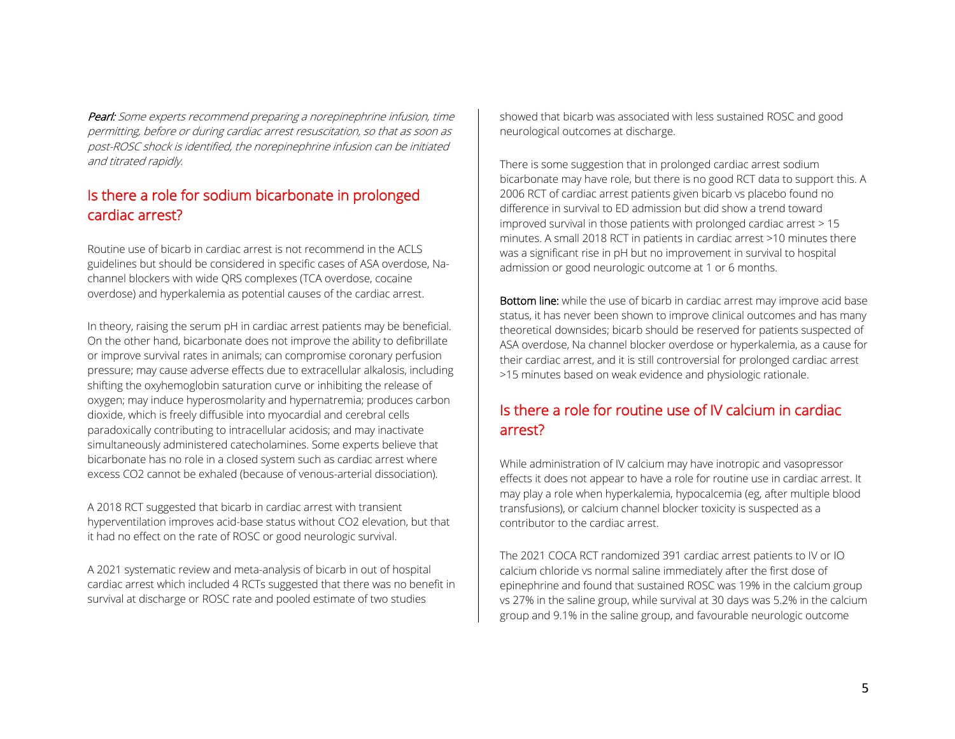Pearl: Some experts recommend preparing a norepinephrine infusion, time permitting, before or during cardiac arrest resuscitation, so that as soon as post-ROSC shock is identified, the norepinephrine infusion can be initiated and titrated rapidly.

### Is there a role for sodium bicarbonate in prolonged cardiac arrest?

Routine use of bicarb in cardiac arrest is not recommend in the ACLS guidelines but should be considered in specific cases of ASA overdose, Nachannel blockers with wide QRS complexes (TCA overdose, cocaine overdose) and hyperkalemia as potential causes of the cardiac arrest.

In theory, raising the serum pH in cardiac arrest patients may be beneficial. On the other hand, bicarbonate does not improve the ability to defibrillate or improve survival rates in animals; can compromise coronary perfusion pressure; may cause adverse effects due to extracellular alkalosis, including shifting the oxyhemoglobin saturation curve or inhibiting the release of oxygen; may induce hyperosmolarity and hypernatremia; produces carbon dioxide, which is freely diffusible into myocardial and cerebral cells paradoxically contributing to intracellular acidosis; and may inactivate simultaneously administered catecholamines. Some experts believe that bicarbonate has no role in a closed system such as cardiac arrest where excess CO2 cannot be exhaled (because of venous-arterial dissociation).

A 2018 RCT suggested that bicarb in cardiac arrest with transient hyperventilation improves acid-base status without CO2 elevation, but that it had no effect on the rate of ROSC or good neurologic survival.

A 2021 systematic review and meta-analysis of bicarb in out of hospital cardiac arrest which included 4 RCTs suggested that there was no benefit in survival at discharge or ROSC rate and pooled estimate of two studies

showed that bicarb was associated with less sustained ROSC and good neurological outcomes at discharge.

There is some suggestion that in prolonged cardiac arrest sodium bicarbonate may have role, but there is no good RCT data to support this. A 2006 RCT of cardiac arrest patients given bicarb vs placebo found no difference in survival to ED admission but did show a trend toward improved survival in those patients with prolonged cardiac arrest > 15 minutes. A small 2018 RCT in patients in cardiac arrest >10 minutes there was a significant rise in pH but no improvement in survival to hospital admission or good neurologic outcome at 1 or 6 months.

Bottom line: while the use of bicarb in cardiac arrest may improve acid base status, it has never been shown to improve clinical outcomes and has many theoretical downsides; bicarb should be reserved for patients suspected of ASA overdose, Na channel blocker overdose or hyperkalemia, as a cause for their cardiac arrest, and it is still controversial for prolonged cardiac arrest >15 minutes based on weak evidence and physiologic rationale.

## Is there a role for routine use of IV calcium in cardiac arrest?

While administration of IV calcium may have inotropic and vasopressor effects it does not appear to have a role for routine use in cardiac arrest. It may play a role when hyperkalemia, hypocalcemia (eg, after multiple blood transfusions), or calcium channel blocker toxicity is suspected as a contributor to the cardiac arrest.

The 2021 COCA RCT randomized 391 cardiac arrest patients to IV or IO calcium chloride vs normal saline immediately after the first dose of epinephrine and found that sustained ROSC was 19% in the calcium group vs 27% in the saline group, while survival at 30 days was 5.2% in the calcium group and 9.1% in the saline group, and favourable neurologic outcome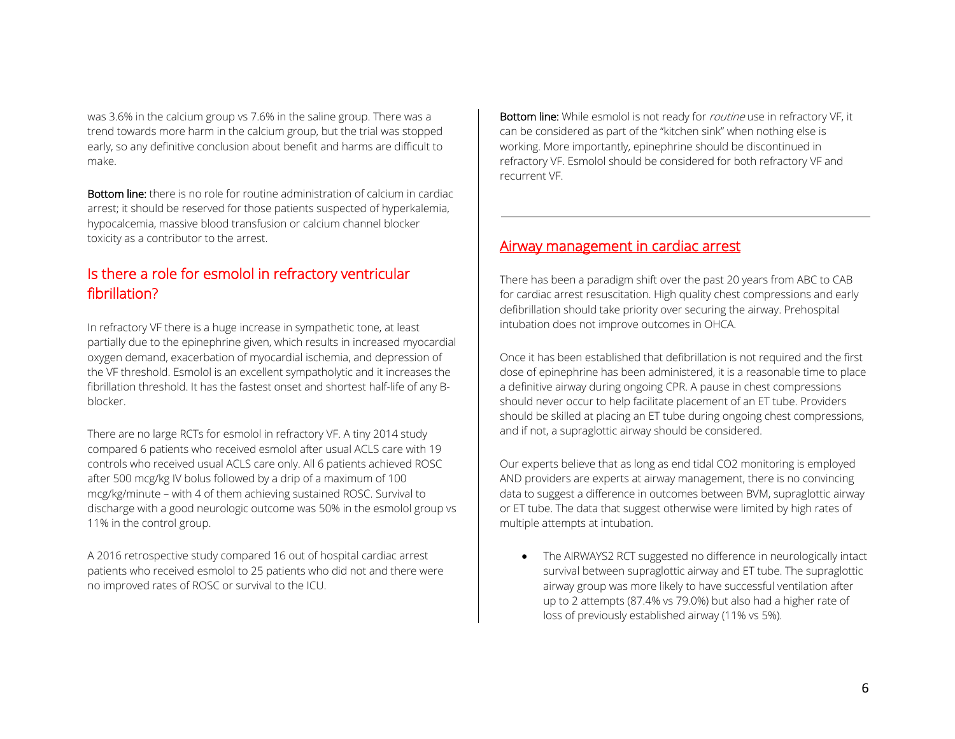was 3.6% in the calcium group vs 7.6% in the saline group. There was a trend towards more harm in the calcium group, but the trial was stopped early, so any definitive conclusion about benefit and harms are difficult to make.

Bottom line: there is no role for routine administration of calcium in cardiac arrest; it should be reserved for those patients suspected of hyperkalemia, hypocalcemia, massive blood transfusion or calcium channel blocker toxicity as a contributor to the arrest.

### Is there a role for esmolol in refractory ventricular fibrillation?

In refractory VF there is a huge increase in sympathetic tone, at least partially due to the epinephrine given, which results in increased myocardial oxygen demand, exacerbation of myocardial ischemia, and depression of the VF threshold. Esmolol is an excellent sympatholytic and it increases the fibrillation threshold. It has the fastest onset and shortest half-life of any Bblocker.

There are no large RCTs for esmolol in refractory VF. A tiny 2014 study compared 6 patients who received esmolol after usual ACLS care with 19 controls who received usual ACLS care only. All 6 patients achieved ROSC after 500 mcg/kg IV bolus followed by a drip of a maximum of 100 mcg/kg/minute – with 4 of them achieving sustained ROSC. Survival to discharge with a good neurologic outcome was 50% in the esmolol group vs 11% in the control group.

A 2016 retrospective study compared 16 out of hospital cardiac arrest patients who received esmolol to 25 patients who did not and there were no improved rates of ROSC or survival to the ICU.

Bottom line: While esmolol is not ready for *routine* use in refractory VF, it can be considered as part of the "kitchen sink" when nothing else is working. More importantly, epinephrine should be discontinued in refractory VF. Esmolol should be considered for both refractory VF and recurrent VF.

#### Airway management in cardiac arrest

There has been a paradigm shift over the past 20 years from ABC to CAB for cardiac arrest resuscitation. High quality chest compressions and early defibrillation should take priority over securing the airway. Prehospital intubation does not improve outcomes in OHCA.

Once it has been established that defibrillation is not required and the first dose of epinephrine has been administered, it is a reasonable time to place a definitive airway during ongoing CPR. A pause in chest compressions should never occur to help facilitate placement of an ET tube. Providers should be skilled at placing an ET tube during ongoing chest compressions, and if not, a supraglottic airway should be considered.

Our experts believe that as long as end tidal CO2 monitoring is employed AND providers are experts at airway management, there is no convincing data to suggest a difference in outcomes between BVM, supraglottic airway or ET tube. The data that suggest otherwise were limited by high rates of multiple attempts at intubation.

• The AIRWAYS2 RCT suggested no difference in neurologically intact survival between supraglottic airway and ET tube. The supraglottic airway group was more likely to have successful ventilation after up to 2 attempts (87.4% vs 79.0%) but also had a higher rate of loss of previously established airway (11% vs 5%).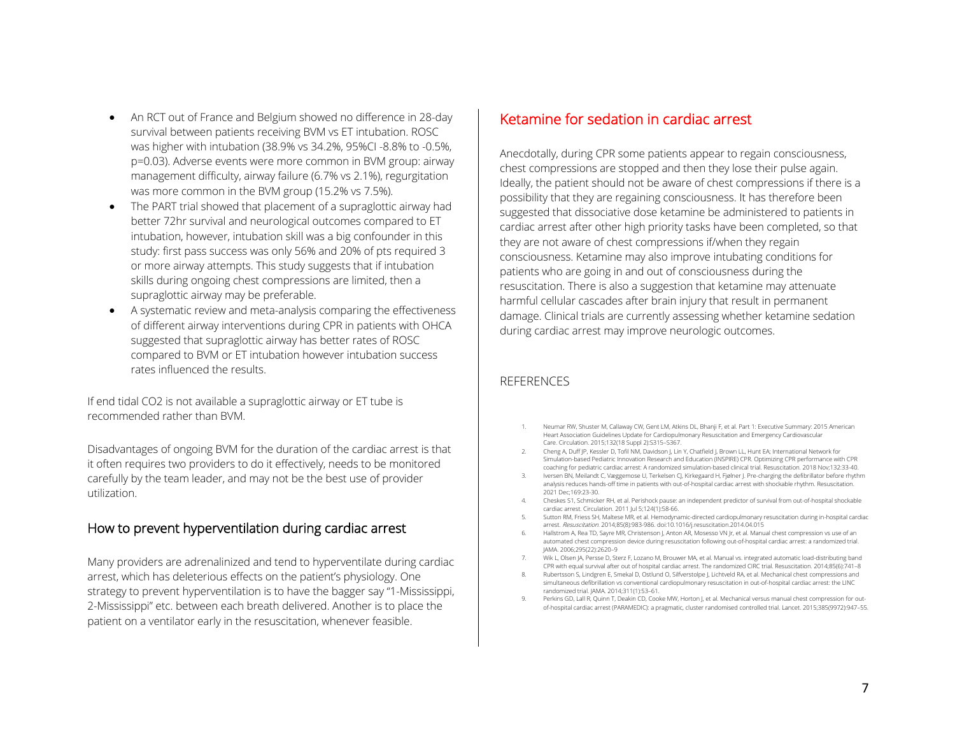- An RCT out of France and Belgium showed no difference in 28-day survival between patients receiving BVM vs ET intubation. ROSC was higher with intubation (38.9% vs 34.2%, 95%CI -8.8% to -0.5%, p=0.03). Adverse events were more common in BVM group: airway management difficulty, airway failure (6.7% vs 2.1%), regurgitation was more common in the BVM group (15.2% vs 7.5%).
- The PART trial showed that placement of a supraglottic airway had better 72hr survival and neurological outcomes compared to ET intubation, however, intubation skill was a big confounder in this study: first pass success was only 56% and 20% of pts required 3 or more airway attempts. This study suggests that if intubation skills during ongoing chest compressions are limited, then a supraglottic airway may be preferable.
- A systematic review and meta-analysis comparing the effectiveness of different airway interventions during CPR in patients with OHCA suggested that supraglottic airway has better rates of ROSC compared to BVM or ET intubation however intubation success rates influenced the results.

If end tidal CO2 is not available a supraglottic airway or ET tube is recommended rather than BVM.

Disadvantages of ongoing BVM for the duration of the cardiac arrest is that it often requires two providers to do it effectively, needs to be monitored carefully by the team leader, and may not be the best use of provider utilization.

#### How to prevent hyperventilation during cardiac arrest

Many providers are adrenalinized and tend to hyperventilate during cardiac arrest, which has deleterious effects on the patient's physiology. One strategy to prevent hyperventilation is to have the bagger say "1-Mississippi, 2-Mississippi" etc. between each breath delivered. Another is to place the patient on a ventilator early in the resuscitation, whenever feasible.

#### Ketamine for sedation in cardiac arrest

Anecdotally, during CPR some patients appear to regain consciousness, chest compressions are stopped and then they lose their pulse again. Ideally, the patient should not be aware of chest compressions if there is a possibility that they are regaining consciousness. It has therefore been suggested that dissociative dose ketamine be administered to patients in cardiac arrest after other high priority tasks have been completed, so that they are not aware of chest compressions if/when they regain consciousness. Ketamine may also improve intubating conditions for patients who are going in and out of consciousness during the resuscitation. There is also a suggestion that ketamine may attenuate harmful cellular cascades after brain injury that result in permanent damage. Clinical trials are currently assessing whether ketamine sedation during cardiac arrest may improve neurologic outcomes.

#### **REFERENCES**

- 1. Neumar RW, Shuster M, Callaway CW, Gent LM, Atkins DL, Bhanji F, et al. Part 1: Executive Summary: 2015 American Heart Association Guidelines Update for Cardiopulmonary Resuscitation and Emergency Cardiovascular Care. Circulation. 2015;132(18 Suppl 2):S315–S367.
- 2. Cheng A, Duff JP, Kessler D, Tofil NM, Davidson J, Lin Y, Chatfield J, Brown LL, Hunt EA; International Network for Simulation-based Pediatric Innovation Research and Education (INSPIRE) CPR. Optimizing CPR performance with CPR coaching for pediatric cardiac arrest: A randomized simulation-based clinical trial. Resuscitation. 2018 Nov;132:33-40.
- 3. Iversen BN, Meilandt C, Væggemose U, Terkelsen CJ, Kirkegaard H, Fjølner J. Pre-charging the defibrillator before rhythm analysis reduces hands-off time in patients with out-of-hospital cardiac arrest with shockable rhythm. Resuscitation. 2021 Dec;169:23-30.
- 4. Cheskes S1, Schmicker RH, et al. Perishock pause: an independent predictor of survival from out-of-hospital shockable cardiac arrest. Circulation. 2011 Jul 5;124(1):58-66.
- 5. Sutton RM, Friess SH, Maltese MR, et al. Hemodynamic-directed cardiopulmonary resuscitation during in-hospital cardiac arrest. Resuscitation. 2014;85(8):983-986. doi:10.1016/j.resuscitation.2014.04.015
- 6. Hallstrom A, Rea TD, Sayre MR, Christenson J, Anton AR, Mosesso VN Jr, et al. Manual chest compression vs use of an automated chest compression device during resuscitation following out-of-hospital cardiac arrest: a randomized trial. JAMA. 2006;295(22):2620–9
- 7. Wik L, Olsen JA, Persse D, Sterz F, Lozano M, Brouwer MA, et al. Manual vs. integrated automatic load-distributing band CPR with equal survival after out of hospital cardiac arrest. The randomized CIRC trial. Resuscitation. 2014;85(6):741–8
- 8. Rubertsson S, Lindgren E, Smekal D, Ostlund O, Silfverstolpe J, Lichtveld RA, et al. Mechanical chest compressions and simultaneous defibrillation vs conventional cardiopulmonary resuscitation in out-of-hospital cardiac arrest: the LINC randomized trial. JAMA. 2014;311(1):53–61.
- Perkins GD, Lall R, Quinn T, Deakin CD, Cooke MW, Horton J, et al. Mechanical versus manual chest compression for outof-hospital cardiac arrest (PARAMEDIC): a pragmatic, cluster randomised controlled trial. Lancet. 2015;385(9972):947–55.